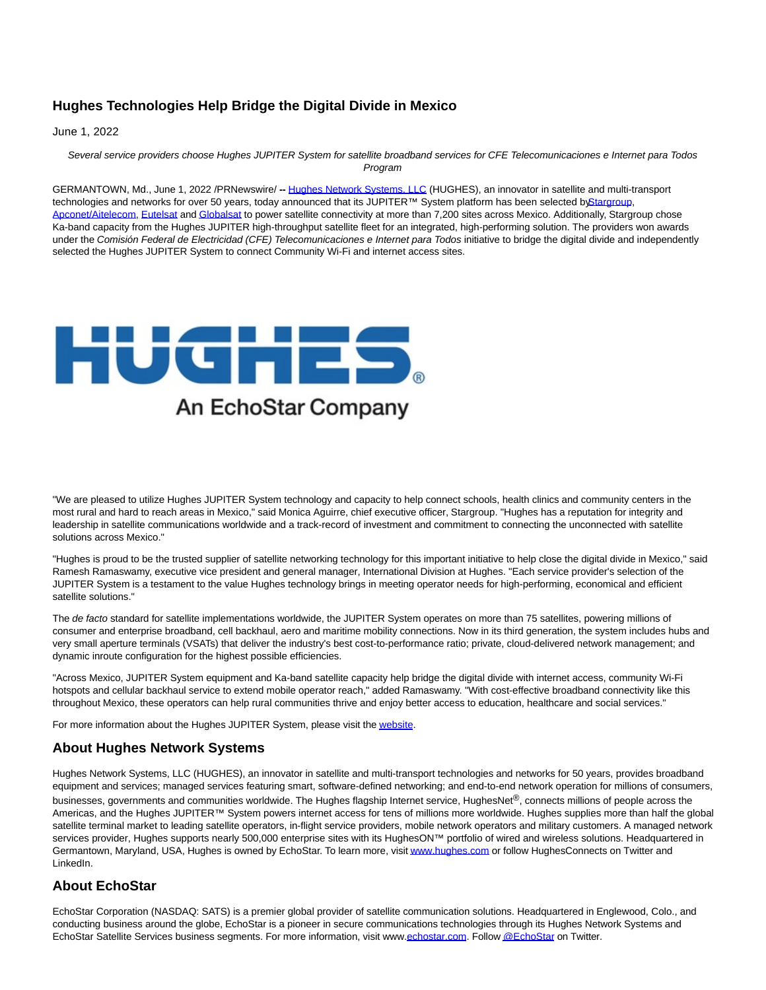## **Hughes Technologies Help Bridge the Digital Divide in Mexico**

June 1, 2022

Several service providers choose Hughes JUPITER System for satellite broadband services for CFE Telecomunicaciones e Internet para Todos Program

GERMANTOWN, Md., June 1, 2022 /PRNewswire/ **--** [Hughes Network Systems, LLC \(](https://c212.net/c/link/?t=0&l=en&o=3553734-1&h=2635810695&u=https%3A%2F%2Fwww.hughes.com%2F&a=Hughes+Network+Systems%2C+LLC)HUGHES), an innovator in satellite and multi-transport technologies and networks for over 50 years, today announced that its JUPITER™ System platform has been selected [by Stargroup,](https://c212.net/c/link/?t=0&l=en&o=3553734-1&h=106056273&u=http%3A%2F%2Fwww.stargroup.com.mx%2Fnosotros.php&a=Stargroup) [Apconet/Aitelecom,](https://c212.net/c/link/?t=0&l=en&o=3553734-1&h=289582954&u=http%3A%2F%2Fwww.aitelecom.net%2Faitelecom%2F&a=Apconet%2FAitelecom) [Eutelsat a](https://c212.net/c/link/?t=0&l=en&o=3553734-1&h=3904414438&u=https%3A%2F%2Fwww.eutelsatamericas.com%2Fen%2Fgroup%2Feutelsat-americas.html&a=Eutelsat)n[d Globalsat t](https://c212.net/c/link/?t=0&l=en&o=3553734-1&h=3976598408&u=https%3A%2F%2Fglobalsat.com%2F&a=Globalsat)o power satellite connectivity at more than 7,200 sites across Mexico. Additionally, Stargroup chose Ka-band capacity from the Hughes JUPITER high-throughput satellite fleet for an integrated, high-performing solution. The providers won awards under the Comisión Federal de Electricidad (CFE) Telecomunicaciones e Internet para Todos initiative to bridge the digital divide and independently selected the Hughes JUPITER System to connect Community Wi-Fi and internet access sites.



"We are pleased to utilize Hughes JUPITER System technology and capacity to help connect schools, health clinics and community centers in the most rural and hard to reach areas in Mexico," said Monica Aguirre, chief executive officer, Stargroup. "Hughes has a reputation for integrity and leadership in satellite communications worldwide and a track-record of investment and commitment to connecting the unconnected with satellite solutions across Mexico."

"Hughes is proud to be the trusted supplier of satellite networking technology for this important initiative to help close the digital divide in Mexico," said Ramesh Ramaswamy, executive vice president and general manager, International Division at Hughes. "Each service provider's selection of the JUPITER System is a testament to the value Hughes technology brings in meeting operator needs for high-performing, economical and efficient satellite solutions."

The de facto standard for satellite implementations worldwide, the JUPITER System operates on more than 75 satellites, powering millions of consumer and enterprise broadband, cell backhaul, aero and maritime mobility connections. Now in its third generation, the system includes hubs and very small aperture terminals (VSATs) that deliver the industry's best cost-to-performance ratio; private, cloud-delivered network management; and dynamic inroute configuration for the highest possible efficiencies.

"Across Mexico, JUPITER System equipment and Ka-band satellite capacity help bridge the digital divide with internet access, community Wi-Fi hotspots and cellular backhaul service to extend mobile operator reach," added Ramaswamy. "With cost-effective broadband connectivity like this throughout Mexico, these operators can help rural communities thrive and enjoy better access to education, healthcare and social services."

For more information about the Hughes JUPITER System, please visit th[e website.](https://c212.net/c/link/?t=0&l=en&o=3553734-1&h=1495693354&u=https%3A%2F%2Fwww.hughes.com%2Fwhat-we-offer%2Fsatellite-ground-systems%2Fjupiter-system&a=website)

## **About Hughes Network Systems**

Hughes Network Systems, LLC (HUGHES), an innovator in satellite and multi-transport technologies and networks for 50 years, provides broadband equipment and services; managed services featuring smart, software-defined networking; and end-to-end network operation for millions of consumers, businesses, governments and communities worldwide. The Hughes flagship Internet service, HughesNet®, connects millions of people across the Americas, and the Hughes JUPITER™ System powers internet access for tens of millions more worldwide. Hughes supplies more than half the global satellite terminal market to leading satellite operators, in-flight service providers, mobile network operators and military customers. A managed network services provider, Hughes supports nearly 500,000 enterprise sites with its HughesON™ portfolio of wired and wireless solutions. Headquartered in Germantown, Maryland, USA, Hughes is owned by EchoStar. To learn more, visi[t www.hughes.com o](http://www.hughes.com/)r follow HughesConnects on Twitter and LinkedIn.

## **About EchoStar**

EchoStar Corporation (NASDAQ: SATS) is a premier global provider of satellite communication solutions. Headquartered in Englewood, Colo., and conducting business around the globe, EchoStar is a pioneer in secure communications technologies through its Hughes Network Systems and EchoStar Satellite Services business segments. For more information, visit ww[w.echostar.com.](https://c212.net/c/link/?t=0&l=en&o=3553734-1&h=485575419&u=http%3A%2F%2Fwww.echostar.com%2F&a=echostar.com) Follo[w @EchoStar o](https://c212.net/c/link/?t=0&l=en&o=3553734-1&h=1935769620&u=https%3A%2F%2Ftwitter.com%2Fechostar&a=%40EchoStar)n Twitter.